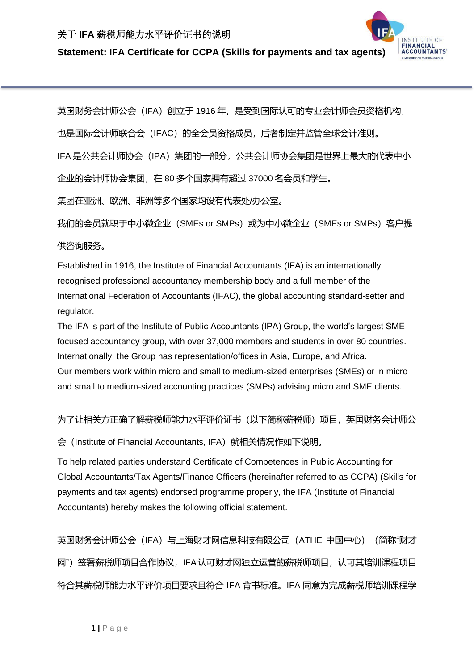## 关于 **IFA** 薪税师能力水平评价证书的说明

**Statement: IFA Certificate for CCPA (Skills for payments and tax agents)** 

INSTITUTE OF **ACCOUNTANTS** 

英国财务会计师公会(IFA)创立于 1916 年, 是受到国际认可的专业会计师会员资格机构,

也是国际会计师联合会(IFAC)的全会员资格成员,后者制定并监管全球会计准则。

IFA 是公共会计师协会 (IPA) 集团的一部分,公共会计师协会集团是世界上最大的代表中小

企业的会计师协会集团,在 80 多个国家拥有超过 37000 名会员和学生。

集团在亚洲、欧洲、非洲等多个国家均设有代表处/办公室。

我们的会员就职于中小微企业(SMEs or SMPs)或为中小微企业(SMEs or SMPs)客户提

供咨询服务。

Established in 1916, the Institute of Financial Accountants (IFA) is an internationally recognised professional accountancy membership body and a full member of the International Federation of Accountants (IFAC), the global accounting standard-setter and regulator.

The IFA is part of the Institute of Public Accountants (IPA) Group, the world's largest SMEfocused accountancy group, with over 37,000 members and students in over 80 countries. Internationally, the Group has representation/offices in Asia, Europe, and Africa. Our members work within micro and small to medium-sized enterprises (SMEs) or in micro and small to medium-sized accounting practices (SMPs) advising micro and SME clients.

为了让相关方正确了解薪税师能力水平评价证书(以下简称薪税师)项目,英国财务会计师公

会(Institute of Financial Accountants, IFA)就相关情况作如下说明。

To help related parties understand Certificate of Competences in Public Accounting for Global Accountants/Tax Agents/Finance Officers (hereinafter referred to as CCPA) (Skills for payments and tax agents) endorsed programme properly, the IFA (Institute of Financial Accountants) hereby makes the following official statement.

英国财务会计师公会(IFA)与上海财才网信息科技有限公司(ATHE 中国中心)(简称"财才 网")签署薪税师项目合作协议,IFA认可财才网独立运营的薪税师项目,认可其培训课程项目 符合其薪税师能力水平评价项目要求且符合 IFA 背书标准。IFA 同意为完成薪税师培训课程学